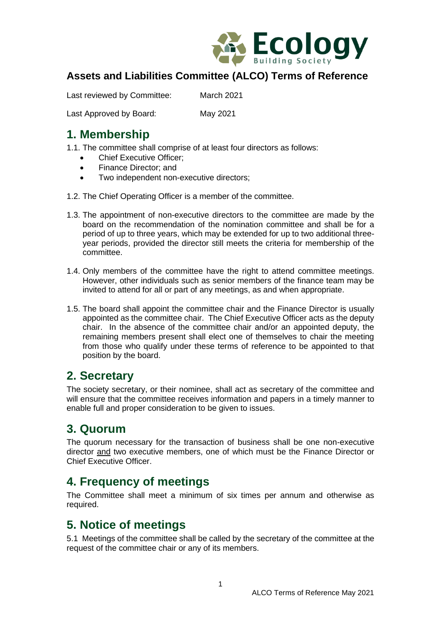

## **Assets and Liabilities Committee (ALCO) Terms of Reference**

Last reviewed by Committee: March 2021

Last Approved by Board: May 2021

# **1. Membership**

1.1. The committee shall comprise of at least four directors as follows:

- Chief Executive Officer;
- Finance Director: and
- Two independent non-executive directors;
- 1.2. The Chief Operating Officer is a member of the committee.
- 1.3. The appointment of non-executive directors to the committee are made by the board on the recommendation of the nomination committee and shall be for a period of up to three years, which may be extended for up to two additional threeyear periods, provided the director still meets the criteria for membership of the committee.
- 1.4. Only members of the committee have the right to attend committee meetings. However, other individuals such as senior members of the finance team may be invited to attend for all or part of any meetings, as and when appropriate.
- 1.5. The board shall appoint the committee chair and the Finance Director is usually appointed as the committee chair. The Chief Executive Officer acts as the deputy chair. In the absence of the committee chair and/or an appointed deputy, the remaining members present shall elect one of themselves to chair the meeting from those who qualify under these terms of reference to be appointed to that position by the board.

# **2. Secretary**

The society secretary, or their nominee, shall act as secretary of the committee and will ensure that the committee receives information and papers in a timely manner to enable full and proper consideration to be given to issues.

# **3. Quorum**

The quorum necessary for the transaction of business shall be one non-executive director and two executive members, one of which must be the Finance Director or Chief Executive Officer.

## **4. Frequency of meetings**

The Committee shall meet a minimum of six times per annum and otherwise as required.

## **5. Notice of meetings**

5.1 Meetings of the committee shall be called by the secretary of the committee at the request of the committee chair or any of its members.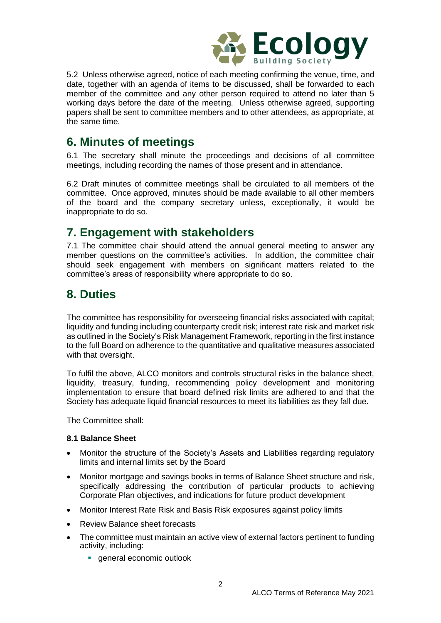

5.2 Unless otherwise agreed, notice of each meeting confirming the venue, time, and date, together with an agenda of items to be discussed, shall be forwarded to each member of the committee and any other person required to attend no later than 5 working days before the date of the meeting. Unless otherwise agreed, supporting papers shall be sent to committee members and to other attendees, as appropriate, at the same time.

# **6. Minutes of meetings**

6.1 The secretary shall minute the proceedings and decisions of all committee meetings, including recording the names of those present and in attendance.

6.2 Draft minutes of committee meetings shall be circulated to all members of the committee. Once approved, minutes should be made available to all other members of the board and the company secretary unless, exceptionally, it would be inappropriate to do so.

## **7. Engagement with stakeholders**

7.1 The committee chair should attend the annual general meeting to answer any member questions on the committee's activities. In addition, the committee chair should seek engagement with members on significant matters related to the committee's areas of responsibility where appropriate to do so.

# **8. Duties**

The committee has responsibility for overseeing financial risks associated with capital; liquidity and funding including counterparty credit risk; interest rate risk and market risk as outlined in the Society's Risk Management Framework, reporting in the first instance to the full Board on adherence to the quantitative and qualitative measures associated with that oversight.

To fulfil the above, ALCO monitors and controls structural risks in the balance sheet, liquidity, treasury, funding, recommending policy development and monitoring implementation to ensure that board defined risk limits are adhered to and that the Society has adequate liquid financial resources to meet its liabilities as they fall due.

The Committee shall:

## **8.1 Balance Sheet**

- Monitor the structure of the Society's Assets and Liabilities regarding regulatory limits and internal limits set by the Board
- Monitor mortgage and savings books in terms of Balance Sheet structure and risk, specifically addressing the contribution of particular products to achieving Corporate Plan objectives, and indications for future product development
- Monitor Interest Rate Risk and Basis Risk exposures against policy limits
- Review Balance sheet forecasts
- The committee must maintain an active view of external factors pertinent to funding activity, including:
	- general economic outlook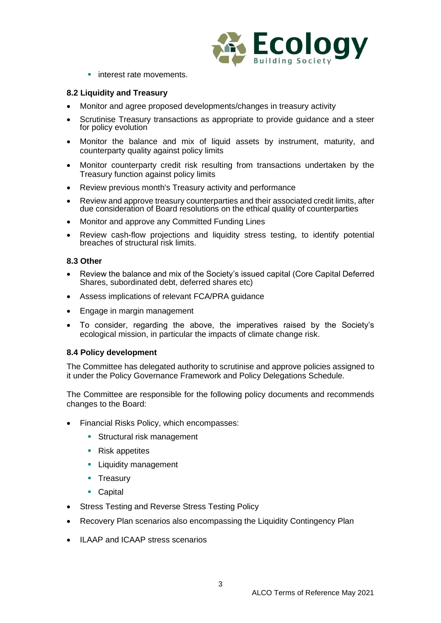

**·** interest rate movements.

### **8.2 Liquidity and Treasury**

- Monitor and agree proposed developments/changes in treasury activity
- Scrutinise Treasury transactions as appropriate to provide guidance and a steer for policy evolution
- Monitor the balance and mix of liquid assets by instrument, maturity, and counterparty quality against policy limits
- Monitor counterparty credit risk resulting from transactions undertaken by the Treasury function against policy limits
- Review previous month's Treasury activity and performance
- Review and approve treasury counterparties and their associated credit limits, after due consideration of Board resolutions on the ethical quality of counterparties
- Monitor and approve any Committed Funding Lines
- Review cash-flow projections and liquidity stress testing, to identify potential breaches of structural risk limits.

### **8.3 Other**

- Review the balance and mix of the Society's issued capital (Core Capital Deferred Shares, subordinated debt, deferred shares etc)
- Assess implications of relevant FCA/PRA guidance
- Engage in margin management
- To consider, regarding the above, the imperatives raised by the Society's ecological mission, in particular the impacts of climate change risk.

### **8.4 Policy development**

The Committee has delegated authority to scrutinise and approve policies assigned to it under the Policy Governance Framework and Policy Delegations Schedule.

The Committee are responsible for the following policy documents and recommends changes to the Board:

- Financial Risks Policy, which encompasses:
	- **EXECUTE:** Structural risk management
	- Risk appetites
	- **Example 1** Liquidity management
	- **•** Treasurv
	- Capital
- Stress Testing and Reverse Stress Testing Policy
- Recovery Plan scenarios also encompassing the Liquidity Contingency Plan
- ILAAP and ICAAP stress scenarios